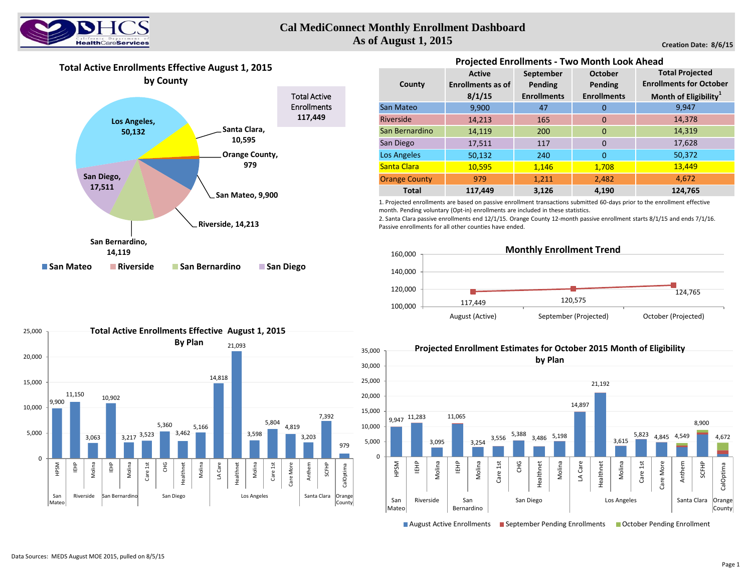

# **Cal MediConnect Monthly Enrollment Dashboard As of August 1, 2015**

**Creation Date: 8/6/15**

# **Total Active Enrollments Effective August 1, 2015**



|                      | <b>Active</b>            | September          | <b>October</b>     | <b>Total Projected</b>            |  |  |  |  |  |  |  |
|----------------------|--------------------------|--------------------|--------------------|-----------------------------------|--|--|--|--|--|--|--|
| County               | <b>Enrollments as of</b> | Pending            | Pending            | <b>Enrollments for October</b>    |  |  |  |  |  |  |  |
|                      | 8/1/15                   | <b>Enrollments</b> | <b>Enrollments</b> | Month of Eligibility <sup>1</sup> |  |  |  |  |  |  |  |
| San Mateo            | 9,900                    | 47                 | 0                  | 9,947                             |  |  |  |  |  |  |  |
| Riverside            | 14,213                   | 165                | $\mathbf 0$        | 14,378                            |  |  |  |  |  |  |  |
| San Bernardino       | 14,119                   | 200                | $\mathbf{0}$       | 14,319                            |  |  |  |  |  |  |  |
| San Diego            | 17,511                   | 117                | $\Omega$           | 17,628                            |  |  |  |  |  |  |  |
| Los Angeles          | 50,132                   | 240                | $\mathbf{0}$       | 50,372                            |  |  |  |  |  |  |  |
| Santa Clara          | 10,595                   | 1,146              | 1,708              | 13,449                            |  |  |  |  |  |  |  |
| <b>Orange County</b> | 979                      | 1,211              | 2,482              | 4.672                             |  |  |  |  |  |  |  |
| <b>Total</b>         | 117,449                  | 3,126              | 4,190              | 124,765                           |  |  |  |  |  |  |  |

**Projected Enrollments - Two Month Look Ahead** 

1. Projected enrollments are based on passive enrollment transactions submitted 60-days prior to the enrollment effective month. Pending voluntary (Opt-in) enrollments are included in these statistics.

2. Santa Clara passive enrollments end 12/1/15. Orange County 12-month passive enrollment starts 8/1/15 and ends 7/1/16. Passive enrollments for all other counties have ended.





**Total Active Enrollments Effective August 1, 2015**



■ August Active Enrollments ■ September Pending Enrollments ■ October Pending Enrollment

25,000